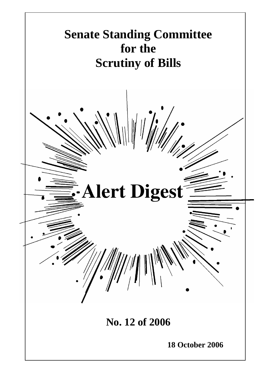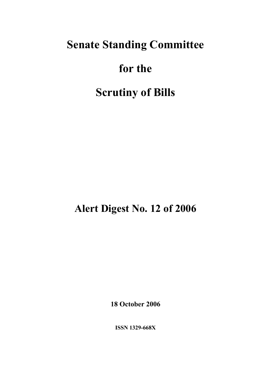# **Senate Standing Committee**

# **for the**

# **Scrutiny of Bills**

**Alert Digest No. 12 of 2006** 

**18 October 2006** 

**ISSN 1329-668X**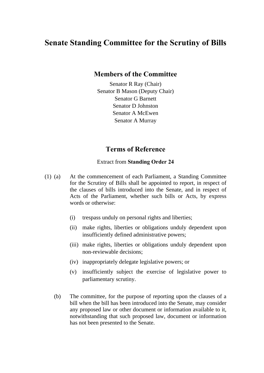### **Senate Standing Committee for the Scrutiny of Bills**

#### **Members of the Committee**

Senator R Ray (Chair) Senator B Mason (Deputy Chair) Senator G Barnett Senator D Johnston Senator A McEwen Senator A Murray

#### **Terms of Reference**

#### Extract from **Standing Order 24**

- (1) (a) At the commencement of each Parliament, a Standing Committee for the Scrutiny of Bills shall be appointed to report, in respect of the clauses of bills introduced into the Senate, and in respect of Acts of the Parliament, whether such bills or Acts, by express words or otherwise:
	- (i) trespass unduly on personal rights and liberties;
	- (ii) make rights, liberties or obligations unduly dependent upon insufficiently defined administrative powers;
	- (iii) make rights, liberties or obligations unduly dependent upon non-reviewable decisions;
	- (iv) inappropriately delegate legislative powers; or
	- (v) insufficiently subject the exercise of legislative power to parliamentary scrutiny.
	- (b) The committee, for the purpose of reporting upon the clauses of a bill when the bill has been introduced into the Senate, may consider any proposed law or other document or information available to it, notwithstanding that such proposed law, document or information has not been presented to the Senate.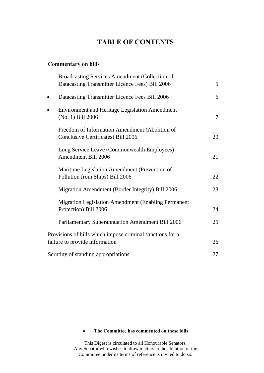#### **Commentary on bills**

|           | Broadcasting Services Amendment (Collection of<br>Datacasting Transmitter Licence Fees) Bill 2006 | 5      |
|-----------|---------------------------------------------------------------------------------------------------|--------|
| $\bullet$ | Datacasting Transmitter Licence Fees Bill 2006                                                    | 6      |
| $\bullet$ | <b>Environment and Heritage Legislation Amendment</b><br>(No. 1) Bill 2006                        | $\tau$ |
|           | Freedom of Information Amendment (Abolition of<br>Conclusive Certificates) Bill 2006              | 20     |
|           | Long Service Leave (Commonwealth Employees)<br>Amendment Bill 2006                                | 21     |
|           | Maritime Legislation Amendment (Prevention of<br>Pollution from Ships) Bill 2006                  | 22     |
|           | Migration Amendment (Border Integrity) Bill 2006                                                  | 23     |
|           | Migration Legislation Amendment (Enabling Permanent<br>Protection) Bill 2006                      | 24     |
|           | Parliamentary Superannuation Amendment Bill 2006                                                  | 25     |
|           | Provisions of bills which impose criminal sanctions for a<br>failure to provide information       | 26     |
|           | Scrutiny of standing appropriations                                                               | 27     |

#### • **The Committee has commented on these bills**

This Digest is circulated to all Honourable Senators. Any Senator who wishes to draw matters to the attention of the Committee under its terms of reference is invited to do so.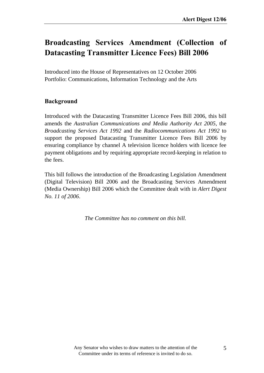### **Broadcasting Services Amendment (Collection of Datacasting Transmitter Licence Fees) Bill 2006**

Introduced into the House of Representatives on 12 October 2006 Portfolio: Communications, Information Technology and the Arts

#### **Background**

Introduced with the Datacasting Transmitter Licence Fees Bill 2006, this bill amends the *Australian Communications and Media Authority Act 2005*, the *Broadcasting Services Act 1992* and the *Radiocommunications Act 1992* to support the proposed Datacasting Transmitter Licence Fees Bill 2006 by ensuring compliance by channel A television licence holders with licence fee payment obligations and by requiring appropriate record-keeping in relation to the fees.

This bill follows the introduction of the Broadcasting Legislation Amendment (Digital Television) Bill 2006 and the Broadcasting Services Amendment (Media Ownership) Bill 2006 which the Committee dealt with in *Alert Digest No. 11 of 2006*.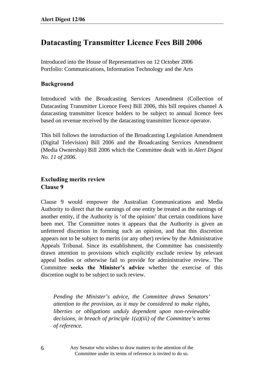## **Datacasting Transmitter Licence Fees Bill 2006**

Introduced into the House of Representatives on 12 October 2006 Portfolio: Communications, Information Technology and the Arts

#### **Background**

Introduced with the Broadcasting Services Amendment (Collection of Datacasting Transmitter Licence Fees) Bill 2006, this bill requires channel A datacasting transmitter licence holders to be subject to annual licence fees based on revenue received by the datacasting transmitter licence operator.

This bill follows the introduction of the Broadcasting Legislation Amendment (Digital Television) Bill 2006 and the Broadcasting Services Amendment (Media Ownership) Bill 2006 which the Committee dealt with in *Alert Digest No. 11 of 2006*.

#### **Excluding merits review Clause 9**

Clause 9 would empower the Australian Communications and Media Authority to direct that the earnings of one entity be treated as the earnings of another entity, if the Authority is 'of the opinion' that certain conditions have been met. The Committee notes it appears that the Authority is given an unfettered discretion in forming such an opinion, and that this discretion appears not to be subject to merits (or any other) review by the Administrative Appeals Tribunal. Since its establishment, the Committee has consistently drawn attention to provisions which explicitly exclude review by relevant appeal bodies or otherwise fail to provide for administrative review. The Committee **seeks the Minister's advice** whether the exercise of this discretion ought to be subject to such review.

*Pending the Minister's advice, the Committee draws Senators' attention to the provision, as it may be considered to make rights, liberties or obligations unduly dependent upon non-reviewable decisions, in breach of principle 1(a)(iii) of the Committee's terms of reference.*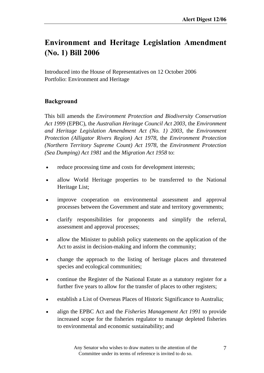## **Environment and Heritage Legislation Amendment (No. 1) Bill 2006**

Introduced into the House of Representatives on 12 October 2006 Portfolio: Environment and Heritage

#### **Background**

This bill amends the *Environment Protection and Biodiversity Conservation Act 1999* (EPBC), the *Australian Heritage Council Act 2003*, the *Environment and Heritage Legislation Amendment Act (No. 1) 2003*, the *Environment Protection (Alligator Rivers Region) Act 1978*, the *Environment Protection (Northern Territory Supreme Count) Act 1978*, the *Environment Protection (Sea Dumping) Act 1981* and the *Migration Act 1958* to:

- reduce processing time and costs for development interests;
- allow World Heritage properties to be transferred to the National Heritage List;
- improve cooperation on environmental assessment and approval processes between the Government and state and territory governments;
- clarify responsibilities for proponents and simplify the referral, assessment and approval processes;
- allow the Minister to publish policy statements on the application of the Act to assist in decision-making and inform the community;
- change the approach to the listing of heritage places and threatened species and ecological communities;
- continue the Register of the National Estate as a statutory register for a further five years to allow for the transfer of places to other registers;
- establish a List of Overseas Places of Historic Significance to Australia;
- align the EPBC Act and the *Fisheries Management Act 1991* to provide increased scope for the fisheries regulator to manage depleted fisheries to environmental and economic sustainability; and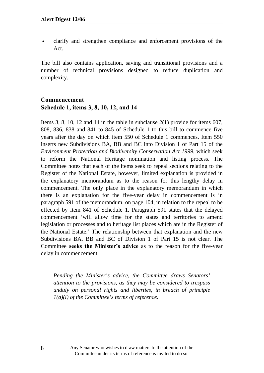• clarify and strengthen compliance and enforcement provisions of the Act.

The bill also contains application, saving and transitional provisions and a number of technical provisions designed to reduce duplication and complexity.

#### **Commencement Schedule 1, items 3, 8, 10, 12, and 14**

Items 3, 8, 10, 12 and 14 in the table in subclause 2(1) provide for items 607, 808, 836, 838 and 841 to 845 of Schedule 1 to this bill to commence five years after the day on which item 550 of Schedule 1 commences. Item 550 inserts new Subdivisions BA, BB and BC into Division 1 of Part 15 of the *Environment Protection and Biodiversity Conservation Act 1999*, which seek to reform the National Heritage nomination and listing process. The Committee notes that each of the items seek to repeal sections relating to the Register of the National Estate, however, limited explanation is provided in the explanatory memorandum as to the reason for this lengthy delay in commencement. The only place in the explanatory memorandum in which there is an explanation for the five-year delay in commencement is in paragraph 591 of the memorandum, on page 104, in relation to the repeal to be effected by item 841 of Schedule 1. Paragraph 591 states that the delayed commencement 'will allow time for the states and territories to amend legislation or processes and to heritage list places which are in the Register of the National Estate.' The relationship between that explanation and the new Subdivisions BA, BB and BC of Division 1 of Part 15 is not clear. The Committee **seeks the Minister's advice** as to the reason for the five-year delay in commencement.

*Pending the Minister's advice, the Committee draws Senators' attention to the provisions, as they may be considered to trespass unduly on personal rights and liberties, in breach of principle 1(a)(i) of the Committee's terms of reference.*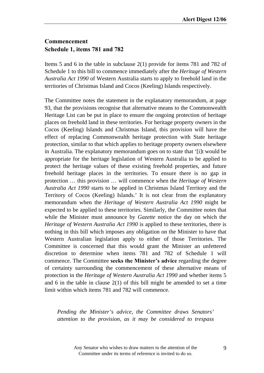#### **Commencement Schedule 1, items 781 and 782**

Items 5 and 6 in the table in subclause 2(1) provide for items 781 and 782 of Schedule 1 to this bill to commence immediately after the *Heritage of Western Australia Act 1990* of Western Australia starts to apply to freehold land in the territories of Christmas Island and Cocos (Keeling) Islands respectively.

The Committee notes the statement in the explanatory memorandum, at page 93, that the provisions recognise that alternative means to the Commonwealth Heritage List can be put in place to ensure the ongoing protection of heritage places on freehold land in these territories. For heritage property owners in the Cocos (Keeling) Islands and Christmas Island, this provision will have the effect of replacing Commonwealth heritage protection with State heritage protection, similar to that which applies to heritage property owners elsewhere in Australia. The explanatory memorandum goes on to state that '[i]t would be appropriate for the heritage legislation of Western Australia to be applied to protect the heritage values of these existing freehold properties, and future freehold heritage places in the territories. To ensure there is no gap in protection … this provision … will commence when the *Heritage of Western Australia Act 1990* starts to be applied in Christmas Island Territory and the Territory of Cocos (Keeling) Islands.' It is not clear from the explanatory memorandum when the *Heritage of Western Australia Act 1990* might be expected to be applied to these territories. Similarly, the Committee notes that while the Minister must announce by *Gazette* notice the day on which the *Heritage of Western Australia Act 1990* is applied to these territories, there is nothing in this bill which imposes any obligation on the Minister to have that Western Australian legislation apply to either of those Territories. The Committee is concerned that this would grant the Minister an unfettered discretion to determine when items 781 and 782 of Schedule 1 will commence. The Committee **seeks the Minister's advice** regarding the degree of certainty surrounding the commencement of these alternative means of protection in the *Heritage of Western Australia Act 1990* and whether items 5 and 6 in the table in clause 2(1) of this bill might be amended to set a time limit within which items 781 and 782 will commence.

*Pending the Minister's advice, the Committee draws Senators' attention to the provision, as it may be considered to trespass*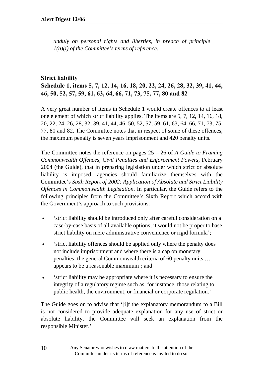*unduly on personal rights and liberties, in breach of principle 1(a)(i) of the Committee's terms of reference.*

#### **Strict liability Schedule 1, items 5, 7, 12, 14, 16, 18, 20, 22, 24, 26, 28, 32, 39, 41, 44, 46, 50, 52, 57, 59, 61, 63, 64, 66, 71, 73, 75, 77, 80 and 82**

A very great number of items in Schedule 1 would create offences to at least one element of which strict liability applies. The items are 5, 7, 12, 14, 16, 18, 20, 22, 24, 26, 28, 32, 39, 41, 44, 46, 50, 52, 57, 59, 61, 63, 64, 66, 71, 73, 75, 77, 80 and 82. The Committee notes that in respect of some of these offences, the maximum penalty is seven years imprisonment and 420 penalty units.

The Committee notes the reference on pages 25 – 26 of *A Guide to Framing Commonwealth Offences, Civil Penalties and Enforcement Powers,* February 2004 (the Guide), that in preparing legislation under which strict or absolute liability is imposed, agencies should familiarize themselves with the Committee's *Sixth Report of 2002: Application of Absolute and Strict Liability Offences in Commonwealth Legislation*. In particular, the Guide refers to the following principles from the Committee's Sixth Report which accord with the Government's approach to such provisions:

- 'strict liability should be introduced only after careful consideration on a case-by-case basis of all available options; it would not be proper to base strict liability on mere administrative convenience or rigid formula';
- 'strict liability offences should be applied only where the penalty does not include imprisonment and where there is a cap on monetary penalties; the general Commonwealth criteria of 60 penalty units … appears to be a reasonable maximum'; and
- 'strict liability may be appropriate where it is necessary to ensure the integrity of a regulatory regime such as, for instance, those relating to public health, the environment, or financial or corporate regulation.'

The Guide goes on to advise that '[i]f the explanatory memorandum to a Bill is not considered to provide adequate explanation for any use of strict or absolute liability, the Committee will seek an explanation from the responsible Minister.'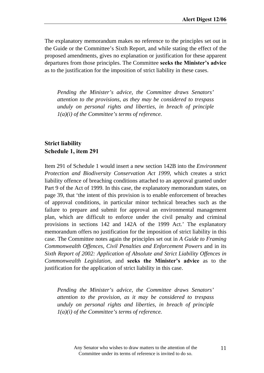The explanatory memorandum makes no reference to the principles set out in the Guide or the Committee's Sixth Report, and while stating the effect of the proposed amendments, gives no explanation or justification for these apparent departures from those principles. The Committee seeks the Minister's advice as to the justification for the imposition of strict liability in these cases.

*Pending the Minister's advice, the Committee draws Senators' attention to the provisions, as they may be considered to trespass unduly on personal rights and liberties, in breach of principle 1(a)(i) of the Committee's terms of reference.*

#### **Strict liability Schedule 1, item 291**

Item 291 of Schedule 1 would insert a new section 142B into the *Environment Protection and Biodiversity Conservation Act 1999*, which creates a strict liability offence of breaching conditions attached to an approval granted under Part 9 of the Act of 1999. In this case, the explanatory memorandum states, on page 39, that 'the intent of this provision is to enable enforcement of breaches of approval conditions, in particular minor technical breaches such as the failure to prepare and submit for approval an environmental management plan, which are difficult to enforce under the civil penalty and criminal provisions in sections 142 and 142A of the 1999 Act.' The explanatory memorandum offers no justification for the imposition of strict liability in this case. The Committee notes again the principles set out in *A Guide to Framing Commonwealth Offences, Civil Penalties and Enforcement Powers* and in its *Sixth Report of 2002: Application of Absolute and Strict Liability Offences in Commonwealth Legislation*, and **seeks the Minister's advice** as to the justification for the application of strict liability in this case.

*Pending the Minister's advice, the Committee draws Senators' attention to the provision, as it may be considered to trespass unduly on personal rights and liberties, in breach of principle 1(a)(i) of the Committee's terms of reference.*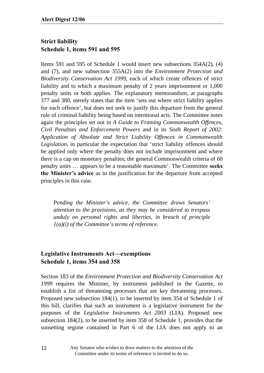#### **Strict liability Schedule 1, items 591 and 595**

Items 591 and 595 of Schedule 1 would insert new subsections 354A(2), (4) and (7), and new subsection 355A(2) into the *Environment Protection and Biodiversity Conservation Act 1999*, each of which create offences of strict liability and to which a maximum penalty of 2 years imprisonment or 1,000 penalty units or both applies. The explanatory memorandum, at paragraphs 377 and 380, merely states that the item 'sets out where strict liability applies for each offence', but does not seek to justify this departure from the general rule of criminal liability being based on intentional acts. The Committee notes again the principles set out in *A Guide to Framing Commonwealth Offences, Civil Penalties and Enforcement Powers* and in its *Sixth Report of 2002: Application of Absolute and Strict Liability Offences in Commonwealth Legislation*, in particular the expectation that 'strict liability offences should be applied only where the penalty does not include imprisonment and where there is a cap on monetary penalties; the general Commonwealth criteria of 60 penalty units … appears to be a reasonable maximum'. The Committee **seeks**  the Minister's advice as to the justification for the departure from accepted principles in this case.

*Pending the Minister's advice, the Committee draws Senators' attention to the provisions, as they may be considered to trespass unduly on personal rights and liberties, in breach of principle 1(a)(i) of the Committee's terms of reference.*

#### **Legislative Instruments Act—exemptions Schedule 1, items 354 and 358**

Section 183 of the *Environment Protection and Biodiversity Conservation Act 1999* requires the Minister, by instrument published in the Gazette, to establish a list of threatening processes that are key threatening processes. Proposed new subsection 184(1), to be inserted by item 354 of Schedule 1 of this bill, clarifies that such an instrument is a legislative instrument for the purposes of the *Legislative Instruments Act 2003* (LIA). Proposed new subsection 184(2), to be inserted by item 358 of Schedule 1, provides that the sunsetting regime contained in Part 6 of the LIA does not apply to an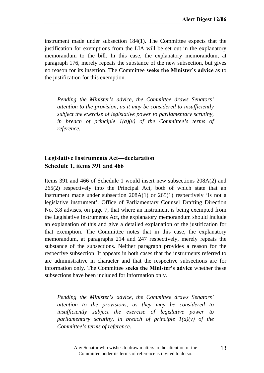instrument made under subsection 184(1). The Committee expects that the justification for exemptions from the LIA will be set out in the explanatory memorandum to the bill. In this case, the explanatory memorandum, at paragraph 176, merely repeats the substance of the new subsection, but gives no reason for its insertion. The Committee **seeks the Minister's advice** as to the justification for this exemption.

*Pending the Minister's advice, the Committee draws Senators' attention to the provision, as it may be considered to insufficiently subject the exercise of legislative power to parliamentary scrutiny, in breach of principle 1(a)(v) of the Committee's terms of reference.* 

#### **Legislative Instruments Act—declaration Schedule 1, items 391 and 466**

Items 391 and 466 of Schedule 1 would insert new subsections 208A(2) and 265(2) respectively into the Principal Act, both of which state that an instrument made under subsection 208A(1) or 265(1) respectively 'is not a legislative instrument'. Office of Parliamentary Counsel Drafting Direction No. 3.8 advises, on page 7, that where an instrument is being exempted from the Legislative Instruments Act, the explanatory memorandum should include an explanation of this and give a detailed explanation of the justification for that exemption. The Committee notes that in this case, the explanatory memorandum, at paragraphs 214 and 247 respectively, merely repeats the substance of the subsections. Neither paragraph provides a reason for the respective subsection. It appears in both cases that the instruments referred to are administrative in character and that the respective subsections are for information only. The Committee **seeks the Minister's advice** whether these subsections have been included for information only.

*Pending the Minister's advice, the Committee draws Senators' attention to the provisions, as they may be considered to insufficiently subject the exercise of legislative power to parliamentary scrutiny, in breach of principle 1(a)(v) of the Committee's terms of reference.*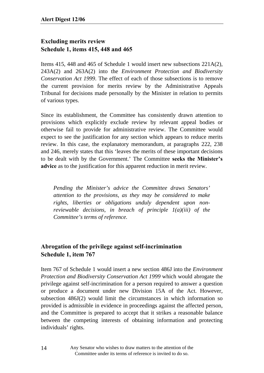#### **Excluding merits review Schedule 1, items 415, 448 and 465**

Items 415, 448 and 465 of Schedule 1 would insert new subsections 221A(2), 243A(2) and 263A(2) into the *Environment Protection and Biodiversity Conservation Act 1999*. The effect of each of those subsections is to remove the current provision for merits review by the Administrative Appeals Tribunal for decisions made personally by the Minister in relation to permits of various types.

Since its establishment, the Committee has consistently drawn attention to provisions which explicitly exclude review by relevant appeal bodies or otherwise fail to provide for administrative review. The Committee would expect to see the justification for any section which appears to reduce merits review. In this case, the explanatory memorandum, at paragraphs 222, 238 and 246, merely states that this 'leaves the merits of these important decisions to be dealt with by the Government.' The Committee seeks the Minister's **advice** as to the justification for this apparent reduction in merit review.

*Pending the Minister's advice the Committee draws Senators' attention to the provisions, as they may be considered to make rights, liberties or obligations unduly dependent upon nonreviewable decisions, in breach of principle 1(a)(iii) of the Committee's terms of reference.* 

#### **Abrogation of the privilege against self-incrimination Schedule 1, item 767**

Item 767 of Schedule 1 would insert a new section 486J into the *Environment Protection and Biodiversity Conservation Act 1999* which would abrogate the privilege against self-incrimination for a person required to answer a question or produce a document under new Division 15A of the Act. However, subsection 486J(2) would limit the circumstances in which information so provided is admissible in evidence in proceedings against the affected person, and the Committee is prepared to accept that it strikes a reasonable balance between the competing interests of obtaining information and protecting individuals' rights.

> Any Senator who wishes to draw matters to the attention of the Committee under its terms of reference is invited to do so.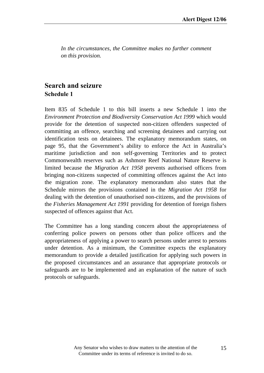*In the circumstances, the Committee makes no further comment on this provision.* 

#### **Search and seizure Schedule 1**

Item 835 of Schedule 1 to this bill inserts a new Schedule 1 into the *Environment Protection and Biodiversity Conservation Act 1999* which would provide for the detention of suspected non-citizen offenders suspected of committing an offence, searching and screening detainees and carrying out identification tests on detainees. The explanatory memorandum states, on page 95, that the Government's ability to enforce the Act in Australia's maritime jurisdiction and non self-governing Territories and to protect Commonwealth reserves such as Ashmore Reef National Nature Reserve is limited because the *Migration Act 1958* prevents authorised officers from bringing non-citizens suspected of committing offences against the Act into the migration zone. The explanatory memorandum also states that the Schedule mirrors the provisions contained in the *Migration Act 1958* for dealing with the detention of unauthorised non-citizens, and the provisions of the *Fisheries Management Act 1991* providing for detention of foreign fishers suspected of offences against that Act.

The Committee has a long standing concern about the appropriateness of conferring police powers on persons other than police officers and the appropriateness of applying a power to search persons under arrest to persons under detention. As a minimum, the Committee expects the explanatory memorandum to provide a detailed justification for applying such powers in the proposed circumstances and an assurance that appropriate protocols or safeguards are to be implemented and an explanation of the nature of such protocols or safeguards.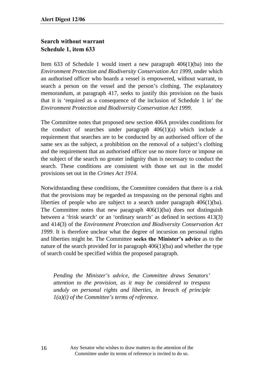#### **Search without warrant Schedule 1, item 633**

Item 633 of Schedule 1 would insert a new paragraph 406(1)(ba) into the *Environment Protection and Biodiversity Conservation Act 1999*, under which an authorised officer who boards a vessel is empowered, without warrant, to search a person on the vessel and the person's clothing. The explanatory memorandum, at paragraph 417, seeks to justify this provision on the basis that it is 'required as a consequence of the inclusion of Schedule 1 in' the *Environment Protection and Biodiversity Conservation Act 1999*.

The Committee notes that proposed new section 406A provides conditions for the conduct of searches under paragraph 406(1)(a) which include a requirement that searches are to be conducted by an authorised officer of the same sex as the subject, a prohibition on the removal of a subject's clothing and the requirement that an authorised officer use no more force or impose on the subject of the search no greater indignity than is necessary to conduct the search. These conditions are consistent with those set out in the model provisions set out in the *Crimes Act 1914*.

Notwithstanding these conditions, the Committee considers that there is a risk that the provisions may be regarded as trespassing on the personal rights and liberties of people who are subject to a search under paragraph 406(1)(ba). The Committee notes that new paragraph  $406(1)(ba)$  does not distinguish between a 'frisk search' or an 'ordinary search' as defined in sections 413(3) and 414(3) of the *Environment Protection and Biodiversity Conservation Act 1999*. It is therefore unclear what the degree of incursion on personal rights and liberties might be. The Committee **seeks the Minister's advice** as to the nature of the search provided for in paragraph 406(1)(ba) and whether the type of search could be specified within the proposed paragraph.

*Pending the Minister's advice, the Committee draws Senators' attention to the provision, as it may be considered to trespass unduly on personal rights and liberties, in breach of principle 1(a)(i) of the Committee's terms of reference.*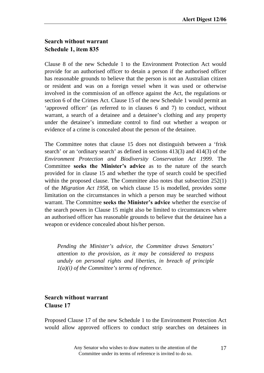#### **Search without warrant Schedule 1, item 835**

Clause 8 of the new Schedule 1 to the Environment Protection Act would provide for an authorised officer to detain a person if the authorised officer has reasonable grounds to believe that the person is not an Australian citizen or resident and was on a foreign vessel when it was used or otherwise involved in the commission of an offence against the Act, the regulations or section 6 of the Crimes Act. Clause 15 of the new Schedule 1 would permit an 'approved officer' (as referred to in clauses 6 and 7) to conduct, without warrant, a search of a detainee and a detainee's clothing and any property under the detainee's immediate control to find out whether a weapon or evidence of a crime is concealed about the person of the detainee.

The Committee notes that clause 15 does not distinguish between a 'frisk search' or an 'ordinary search' as defined in sections 413(3) and 414(3) of the *Environment Protection and Biodiversity Conservation Act 1999*. The Committee **seeks the Minister's advice** as to the nature of the search provided for in clause 15 and whether the type of search could be specified within the proposed clause. The Committee also notes that subsection 252(1) of the *Migration Act 1958*, on which clause 15 is modelled, provides some limitation on the circumstances in which a person may be searched without warrant. The Committee **seeks the Minister's advice** whether the exercise of the search powers in Clause 15 might also be limited to circumstances where an authorised officer has reasonable grounds to believe that the detainee has a weapon or evidence concealed about his/her person.

*Pending the Minister's advice, the Committee draws Senators' attention to the provision, as it may be considered to trespass unduly on personal rights and liberties, in breach of principle 1(a)(i) of the Committee's terms of reference.*

#### **Search without warrant Clause 17**

Proposed Clause 17 of the new Schedule 1 to the Environment Protection Act would allow approved officers to conduct strip searches on detainees in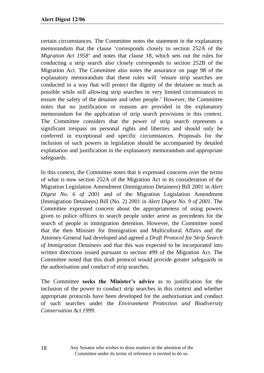certain circumstances. The Committee notes the statement in the explanatory memorandum that the clause 'corresponds closely to section 252A of the *Migration Act 1958*' and notes that clause 18, which sets out the rules for conducting a strip search also closely corresponds to section 252B of the Migration Act. The Committee also notes the assurance on page 98 of the explanatory memorandum that these rules will 'ensure strip searches are conducted in a way that will protect the dignity of the detainee as much as possible while still allowing strip searches in very limited circumstances to ensure the safety of the detainee and other people.' However, the Committee notes that no justification or reasons are provided in the explanatory memorandum for the application of strip search provisions in this context. The Committee considers that the power of strip search represents a significant trespass on personal rights and liberties and should only be conferred in exceptional and specific circumstances. Proposals for the inclusion of such powers in legislation should be accompanied by detailed explanation and justification in the explanatory memorandum and appropriate safeguards.

In this context, the Committee notes that it expressed concerns over the terms of what is now section 252A of the Migration Act in its consideration of the Migration Legislation Amendment (Immigration Detainees) Bill 2001 in *Alert Digest No. 6 of 2001* and of the Migration Legislation Amendment (Immigration Detainees) Bill (No. 2) 2001 in *Alert Digest No. 9 of 2001*. The Committee expressed concern about the appropriateness of using powers given to police officers to search people under arrest as precedents for the search of people in immigration detention. However, the Committee noted that the then Minister for Immigration and Multicultural Affairs and the Attorney-General had developed and agreed a *Draft Protocol for Strip Search of Immigration Detainees* and that this was expected to be incorporated into written directions issued pursuant to section 499 of the Migration Act. The Committee noted that this draft protocol would provide greater safeguards in the authorisation and conduct of strip searches.

The Committee seeks the Minister's advice as to justification for the inclusion of the power to conduct strip searches in this context and whether appropriate protocols have been developed for the authorisation and conduct of such searches under the *Environment Protection and Biodiversity Conservation Act 1999*.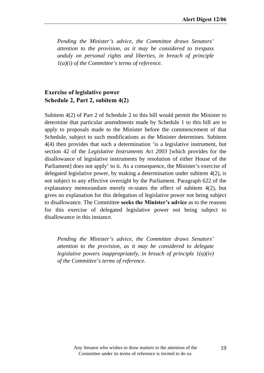*Pending the Minister's advice, the Committee draws Senators' attention to the provision, as it may be considered to trespass unduly on personal rights and liberties, in breach of principle 1(a)(i) of the Committee's terms of reference.*

#### **Exercise of legislative power Schedule 2, Part 2, subitem 4(2)**

Subitem 4(2) of Part 2 of Schedule 2 to this bill would permit the Minister to determine that particular amendments made by Schedule 1 to this bill are to apply to proposals made to the Minister before the commencement of that Schedule, subject to such modifications as the Minister determines. Subitem 4(4) then provides that such a determination 'is a legislative instrument, but section 42 of the *Legislative Instruments Act 2003* [which provides for the disallowance of legislative instruments by resolution of either House of the Parliament] does not apply' to it. As a consequence, the Minister's exercise of delegated legislative power, by making a determination under subitem 4(2), is not subject to any effective oversight by the Parliament. Paragraph 622 of the explanatory memorandum merely re-states the effect of subitem 4(2), but gives no explanation for this delegation of legislative power not being subject to disallowance. The Committee **seeks the Minister's advice** as to the reasons for this exercise of delegated legislative power not being subject to disallowance in this instance.

*Pending the Minister's advice, the Committee draws Senators' attention to the provision, as it may be considered to delegate legislative powers inappropriately, in breach of principle 1(a)(iv) of the Committee's terms of reference.*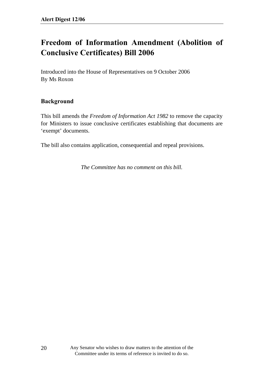# **Freedom of Information Amendment (Abolition of Conclusive Certificates) Bill 2006**

Introduced into the House of Representatives on 9 October 2006 By Ms Roxon

#### **Background**

This bill amends the *Freedom of Information Act 1982* to remove the capacity for Ministers to issue conclusive certificates establishing that documents are 'exempt' documents.

The bill also contains application, consequential and repeal provisions.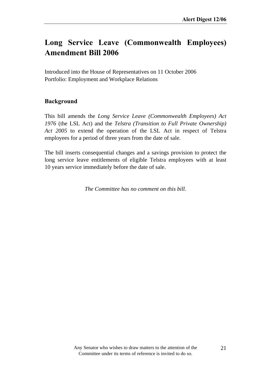## **Long Service Leave (Commonwealth Employees) Amendment Bill 2006**

Introduced into the House of Representatives on 11 October 2006 Portfolio: Employment and Workplace Relations

#### **Background**

This bill amends the *Long Service Leave (Commonwealth Employees) Act 1976* (the LSL Act) and the *Telstra (Transition to Full Private Ownership) Act 2005* to extend the operation of the LSL Act in respect of Telstra employees for a period of three years from the date of sale.

The bill inserts consequential changes and a savings provision to protect the long service leave entitlements of eligible Telstra employees with at least 10 years service immediately before the date of sale.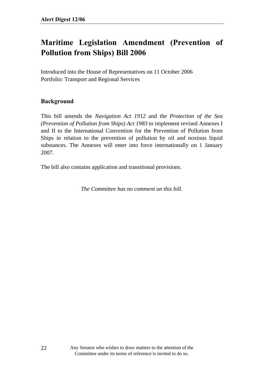# **Maritime Legislation Amendment (Prevention of Pollution from Ships) Bill 2006**

Introduced into the House of Representatives on 11 October 2006 Portfolio: Transport and Regional Services

#### **Background**

This bill amends the *Navigation Act 1912* and the *Protection of the Sea (Prevention of Pollution from Ships) Act 1983* to implement revised Annexes I and II to the International Convention for the Prevention of Pollution from Ships in relation to the prevention of pollution by oil and noxious liquid substances. The Annexes will enter into force internationally on 1 January 2007.

The bill also contains application and transitional provisions.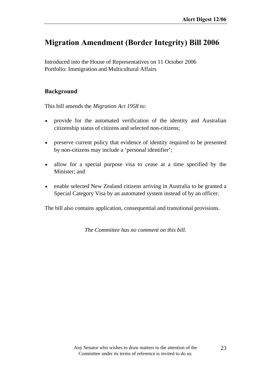### **Migration Amendment (Border Integrity) Bill 2006**

Introduced into the House of Representatives on 11 October 2006 Portfolio: Immigration and Multicultural Affairs

#### **Background**

This bill amends the *Migration Act 1958* to:

- provide for the automated verification of the identity and Australian citizenship status of citizens and selected non-citizens;
- preserve current policy that evidence of identity required to be presented by non-citizens may include a 'personal identifier';
- allow for a special purpose visa to cease at a time specified by the Minister; and
- enable selected New Zealand citizens arriving in Australia to be granted a Special Category Visa by an automated system instead of by an officer.

The bill also contains application, consequential and transitional provisions.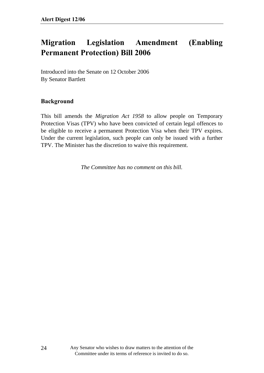# **Migration Legislation Amendment (Enabling Permanent Protection) Bill 2006**

Introduced into the Senate on 12 October 2006 By Senator Bartlett

#### **Background**

This bill amends the *Migration Act 1958* to allow people on Temporary Protection Visas (TPV) who have been convicted of certain legal offences to be eligible to receive a permanent Protection Visa when their TPV expires. Under the current legislation, such people can only be issued with a further TPV. The Minister has the discretion to waive this requirement.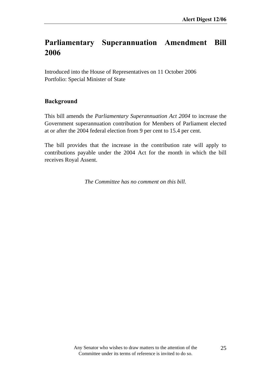### **Parliamentary Superannuation Amendment Bill 2006**

Introduced into the House of Representatives on 11 October 2006 Portfolio: Special Minister of State

#### **Background**

This bill amends the *Parliamentary Superannuation Act 2004* to increase the Government superannuation contribution for Members of Parliament elected at or after the 2004 federal election from 9 per cent to 15.4 per cent.

The bill provides that the increase in the contribution rate will apply to contributions payable under the 2004 Act for the month in which the bill receives Royal Assent.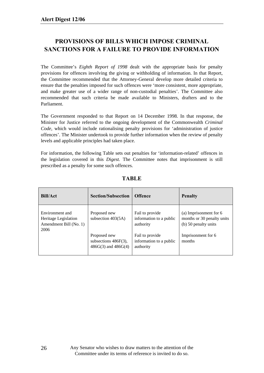#### **PROVISIONS OF BILLS WHICH IMPOSE CRIMINAL SANCTIONS FOR A FAILURE TO PROVIDE INFORMATION**

The Committee's *Eighth Report of 1998* dealt with the appropriate basis for penalty provisions for offences involving the giving or withholding of information. In that Report, the Committee recommended that the Attorney-General develop more detailed criteria to ensure that the penalties imposed for such offences were 'more consistent, more appropriate, and make greater use of a wider range of non-custodial penalties'. The Committee also recommended that such criteria be made available to Ministers, drafters and to the Parliament.

The Government responded to that Report on 14 December 1998. In that response, the Minister for Justice referred to the ongoing development of the Commonwealth *Criminal Code*, which would include rationalising penalty provisions for 'administration of justice offences'. The Minister undertook to provide further information when the review of penalty levels and applicable principles had taken place.

For information, the following Table sets out penalties for 'information-related' offences in the legislation covered in this *Digest.* The Committee notes that imprisonment is still prescribed as a penalty for some such offences.

| <b>Bill/Act</b>                                                           | <b>Section/Subsection</b>                                          | <b>Offence</b>                                          | <b>Penalty</b>                                                               |
|---------------------------------------------------------------------------|--------------------------------------------------------------------|---------------------------------------------------------|------------------------------------------------------------------------------|
| Environment and<br>Heritage Legislation<br>Amendment Bill (No. 1)<br>2006 | Proposed new<br>subsection $403(5A)$                               | Fail to provide<br>information to a public<br>authority | (a) Imprisonment for 6<br>months or 30 penalty units<br>(b) 50 penalty units |
|                                                                           | Proposed new<br>subsections $486F(3)$ ,<br>$486G(3)$ and $486G(4)$ | Fail to provide<br>information to a public<br>authority | Imprisonment for 6<br>months                                                 |

#### **TABLE**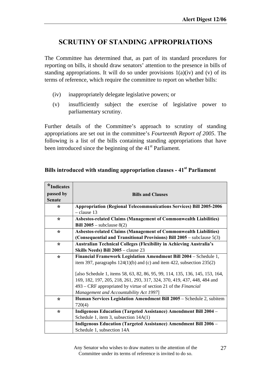### **SCRUTINY OF STANDING APPROPRIATIONS**

The Committee has determined that, as part of its standard procedures for reporting on bills, it should draw senators' attention to the presence in bills of standing appropriations. It will do so under provisions  $1(a)(iv)$  and (v) of its terms of reference, which require the committee to report on whether bills:

- (iv) inappropriately delegate legislative powers; or
- (v) insufficiently subject the exercise of legislative power to parliamentary scrutiny.

Further details of the Committee's approach to scrutiny of standing appropriations are set out in the committee's *Fourteenth Report of 2005*. The following is a list of the bills containing standing appropriations that have been introduced since the beginning of the  $41<sup>st</sup>$  Parliament.

| $*$ Indicates |                                                                               |
|---------------|-------------------------------------------------------------------------------|
| passed by     | <b>Bills and Clauses</b>                                                      |
| <b>Senate</b> |                                                                               |
| ∗             | <b>Appropriation (Regional Telecommunications Services) Bill 2005-2006</b>    |
|               | $-$ clause 13                                                                 |
| ∗             | <b>Asbestos-related Claims (Management of Commonwealth Liabilities)</b>       |
|               | Bill $2005$ – subclause $8(2)$                                                |
| $\star$       | Asbestos-related Claims (Management of Commonwealth Liabilities)              |
|               | (Consequential and Transitional Provisions) Bill $2005$ – subclause $5(3)$    |
| ∗             | <b>Australian Technical Colleges (Flexibility in Achieving Australia's</b>    |
|               | Skills Needs) Bill 2005 - clause 23                                           |
| $\star$       | Financial Framework Legislation Amendment Bill 2004 - Schedule 1,             |
|               | item 397, paragraphs $124(1)(b)$ and (c) and item 422, subsection $235(2)$    |
|               | [also Schedule 1, items 58, 63, 82, 86, 95, 99, 114, 135, 136, 145, 153, 164, |
|               | 169, 182, 197, 205, 218, 261, 293, 317, 324, 370, 419, 437, 448, 484 and      |
|               | $493 - CRF$ appropriated by virtue of section 21 of the <i>Financial</i>      |
|               | Management and Accountability Act 1997]                                       |
| $\star$       | Human Services Legislation Amendment Bill 2005 – Schedule 2, subitem          |
|               | 720(4)                                                                        |
| $\star$       | <b>Indigenous Education (Targeted Assistance) Amendment Bill 2004 -</b>       |
|               | Schedule 1, item 3, subsection 14A(1)                                         |
|               | <b>Indigenous Education (Targeted Assistance) Amendment Bill 2006 -</b>       |
|               | Schedule 1, subsection 14A                                                    |

### **Bills introduced with standing appropriation clauses - 41st Parliament**

Any Senator who wishes to draw matters to the attention of the Committee under its terms of reference is invited to do so.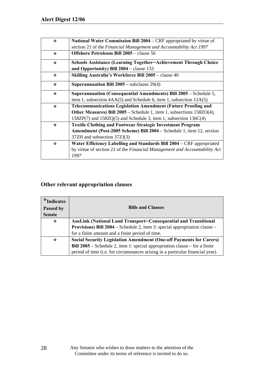| $\star$ | National Water Commission Bill 2004 - CRF appropriated by virtue of        |
|---------|----------------------------------------------------------------------------|
|         | section 21 of the Financial Management and Accountability Act 1997         |
| $\star$ | <b>Offshore Petroleum Bill 2005</b> – clause 56                            |
| $\star$ | <b>Schools Assistance (Learning Together–Achievement Through Choice</b>    |
|         | and Opportunity) Bill 2004 - clause 133                                    |
| $\star$ | Skilling Australia's Workforce Bill 2005 – clause 40                       |
| ∗       | <b>Superannuation Bill 2005</b> – subclause $29(4)$                        |
| $\star$ | Superannuation (Consequential Amendments) Bill 2005 - Schedule 5,          |
|         | item 1, subsection $4AA(5)$ and Schedule 6, item 1, subsection $12A(5)$    |
| $\star$ | <b>Telecommunications Legislation Amendment (Future Proofing and</b>       |
|         | Other Measures) Bill 2005 – Schedule 1, item 1, subsections 158ZO(4),      |
|         | $158ZP(7)$ and $158ZQ(5)$ and Schedule 3, item 1, subsection $136C(4)$     |
| $\star$ | <b>Textile Clothing and Footwear Strategic Investment Program</b>          |
|         | Amendment (Post-2005 Scheme) Bill 2004 – Schedule 1, item 12, section      |
|         | 37ZH and subsection 37ZJ(3)                                                |
| ∗       | Water Efficiency Labelling and Standards Bill 2004 – CRF appropriated      |
|         | by virtue of section 21 of the Financial Management and Accountability Act |
|         | 1997                                                                       |

### **Other relevant appropriation clauses**

| $*$ Indicates<br>Passed by<br><b>Senate</b> | <b>Bills and Clauses</b>                                                           |
|---------------------------------------------|------------------------------------------------------------------------------------|
| $\star$                                     | <b>AusLink (National Land Transport–Consequential and Transitional</b>             |
|                                             | <b>Provisions) Bill 2004</b> – Schedule 2, item 3: special appropriation clause –  |
|                                             | for a finite amount and a finite period of time.                                   |
| $\star$                                     | <b>Social Security Legislation Amendment (One-off Payments for Carers)</b>         |
|                                             | <b>Bill 2005</b> – Schedule 2, item 1: special appropriation clause – for a finite |
|                                             | period of time (i.e. for circumstances arising in a particular financial year).    |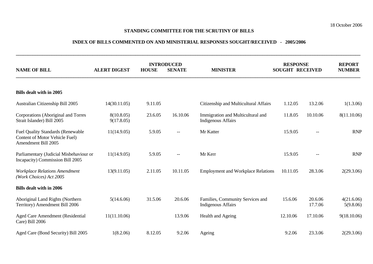#### **STANDING COMMITTEE FOR THE SCRUTINY OF BILLS**

#### **INDEX OF BILLS COMMENTED ON AND MINISTERIAL RESPONSES SOUGHT/RECEIVED - 2005/2006**

**\_\_\_\_\_\_\_\_\_\_\_\_\_\_\_\_\_\_\_\_\_\_\_\_\_\_\_\_\_\_\_\_\_\_\_\_\_\_\_\_\_\_\_\_\_\_\_\_\_\_\_\_\_\_\_\_\_\_\_\_\_\_\_\_\_\_\_\_\_\_\_\_\_\_\_\_\_\_\_\_\_\_\_\_\_\_\_\_\_\_\_\_\_\_\_\_\_\_\_\_\_\_\_\_\_\_\_\_\_\_\_\_\_\_\_\_\_\_\_\_\_\_\_\_\_\_\_\_\_\_\_\_\_\_\_\_\_\_\_\_\_\_\_\_** 

| <b>NAME OF BILL</b>                                                                               | <b>ALERT DIGEST</b>      | <b>INTRODUCED</b><br><b>HOUSE</b><br><b>SENATE</b> |                                       | <b>MINISTER</b>                                                | <b>RESPONSE</b><br><b>SOUGHT RECEIVED</b> |                                                     | <b>REPORT</b><br><b>NUMBER</b> |
|---------------------------------------------------------------------------------------------------|--------------------------|----------------------------------------------------|---------------------------------------|----------------------------------------------------------------|-------------------------------------------|-----------------------------------------------------|--------------------------------|
|                                                                                                   |                          |                                                    |                                       |                                                                |                                           |                                                     |                                |
| <b>Bills dealt with in 2005</b>                                                                   |                          |                                                    |                                       |                                                                |                                           |                                                     |                                |
| Australian Citizenship Bill 2005                                                                  | 14(30.11.05)             | 9.11.05                                            |                                       | Citizenship and Multicultural Affairs                          | 1.12.05                                   | 13.2.06                                             | 1(1.3.06)                      |
| Corporations (Aboriginal and Torres<br>Strait Islander) Bill 2005                                 | 8(10.8.05)<br>9(17.8.05) | 23.6.05                                            | 16.10.06                              | Immigration and Multicultural and<br><b>Indigenous Affairs</b> | 11.8.05                                   | 10.10.06                                            | 8(11.10.06)                    |
| <b>Fuel Quality Standards (Renewable</b><br>Content of Motor Vehicle Fuel)<br>Amendment Bill 2005 | 11(14.9.05)              | 5.9.05                                             | $-$                                   | Mr Katter                                                      | 15.9.05                                   |                                                     | <b>RNP</b>                     |
| Parliamentary (Judicial Misbehaviour or<br>Incapacity) Commission Bill 2005                       | 11(14.9.05)              | 5.9.05                                             | $\hspace{0.05cm}$ – $\hspace{0.05cm}$ | Mr Kerr                                                        | 15.9.05                                   | $\hspace{0.05cm} -\hspace{0.05cm} -\hspace{0.05cm}$ | <b>RNP</b>                     |
| <b>Workplace Relations Amendment</b><br>(Work Choices) Act 2005                                   | 13(9.11.05)              | 2.11.05                                            | 10.11.05                              | <b>Employment and Workplace Relations</b>                      | 10.11.05                                  | 28.3.06                                             | 2(29.3.06)                     |
| <b>Bills dealt with in 2006</b>                                                                   |                          |                                                    |                                       |                                                                |                                           |                                                     |                                |
| Aboriginal Land Rights (Northern<br>Territory) Amendment Bill 2006                                | 5(14.6.06)               | 31.5.06                                            | 20.6.06                               | Families, Community Services and<br><b>Indigenous Affairs</b>  | 15.6.06                                   | 20.6.06<br>17.7.06                                  | 4(21.6.06)<br>5(9.8.06)        |
| Aged Care Amendment (Residential<br>Care) Bill 2006                                               | 11(11.10.06)             |                                                    | 13.9.06                               | Health and Ageing                                              | 12.10.06                                  | 17.10.06                                            | 9(18.10.06)                    |
| Aged Care (Bond Security) Bill 2005                                                               | 1(8.2.06)                | 8.12.05                                            | 9.2.06                                | Ageing                                                         | 9.2.06                                    | 23.3.06                                             | 2(29.3.06)                     |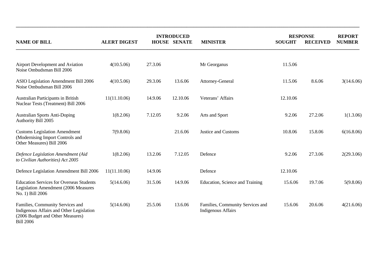|                                                                                                                                      |                     |         | <b>INTRODUCED</b>   |                                                               |               | <b>RESPONSE</b> |                                |  |
|--------------------------------------------------------------------------------------------------------------------------------------|---------------------|---------|---------------------|---------------------------------------------------------------|---------------|-----------------|--------------------------------|--|
| <b>NAME OF BILL</b>                                                                                                                  | <b>ALERT DIGEST</b> |         | <b>HOUSE SENATE</b> | <b>MINISTER</b>                                               | <b>SOUGHT</b> | <b>RECEIVED</b> | <b>REPORT</b><br><b>NUMBER</b> |  |
| Airport Development and Aviation<br>Noise Ombudsman Bill 2006                                                                        | 4(10.5.06)          | 27.3.06 |                     | Mr Georganus                                                  | 11.5.06       |                 |                                |  |
| ASIO Legislation Amendment Bill 2006<br>Noise Ombudsman Bill 2006                                                                    | 4(10.5.06)          | 29.3.06 | 13.6.06             | Attorney-General                                              | 11.5.06       | 8.6.06          | 3(14.6.06)                     |  |
| Australian Participants in British<br>Nuclear Tests (Treatment) Bill 2006                                                            | 11(11.10.06)        | 14.9.06 | 12.10.06            | Veterans' Affairs                                             | 12.10.06      |                 |                                |  |
| <b>Australian Sports Anti-Doping</b><br>Authority Bill 2005                                                                          | 1(8.2.06)           | 7.12.05 | 9.2.06              | Arts and Sport                                                | 9.2.06        | 27.2.06         | 1(1.3.06)                      |  |
| <b>Customs Legislation Amendment</b><br>(Modernising Import Controls and<br>Other Measures) Bill 2006                                | 7(9.8.06)           |         | 21.6.06             | <b>Justice and Customs</b>                                    | 10.8.06       | 15.8.06         | 6(16.8.06)                     |  |
| Defence Legislation Amendment (Aid<br>to Civilian Authorities) Act 2005                                                              | 1(8.2.06)           | 13.2.06 | 7.12.05             | Defence                                                       | 9.2.06        | 27.3.06         | 2(29.3.06)                     |  |
| Defence Legislation Amendment Bill 2006                                                                                              | 11(11.10.06)        | 14.9.06 |                     | Defence                                                       | 12.10.06      |                 |                                |  |
| <b>Education Services for Overseas Students</b><br>Legislation Amendment (2006 Measures<br>No. 1) Bill 2006                          | 5(14.6.06)          | 31.5.06 | 14.9.06             | Education, Science and Training                               | 15.6.06       | 19.7.06         | 5(9.8.06)                      |  |
| Families, Community Services and<br>Indigenous Affairs and Other Legislation<br>(2006 Budget and Other Measures)<br><b>Bill 2006</b> | 5(14.6.06)          | 25.5.06 | 13.6.06             | Families, Community Services and<br><b>Indigenous Affairs</b> | 15.6.06       | 20.6.06         | 4(21.6.06)                     |  |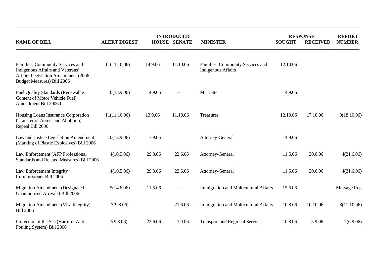|                                                                                                                                                  | <b>INTRODUCED</b>   |         |                          |                                                               | <b>RESPONSE</b> | <b>REPORT</b>   |               |
|--------------------------------------------------------------------------------------------------------------------------------------------------|---------------------|---------|--------------------------|---------------------------------------------------------------|-----------------|-----------------|---------------|
| <b>NAME OF BILL</b>                                                                                                                              | <b>ALERT DIGEST</b> |         | <b>HOUSE SENATE</b>      | <b>MINISTER</b>                                               | <b>SOUGHT</b>   | <b>RECEIVED</b> | <b>NUMBER</b> |
| Families, Community Services and<br>Indigenous Affairs and Veterans'<br>Affairs Legislation Amendment (2006<br><b>Budget Measures) Bill 2006</b> | 11(11.10.06)        | 14.9.06 | 11.10.06                 | Families, Community Services and<br><b>Indigenous Affairs</b> | 12.10.06        |                 |               |
| <b>Fuel Quality Standards (Renewable</b><br>Content of Motor Vehicle Fuel)<br>Amendment Bill 20060                                               | 10(13.9.06)         | 4.9.06  | $\overline{\phantom{a}}$ | Mr Katter                                                     | 14.9.06         |                 |               |
| Housing Loans Insurance Corporation<br>(Transfer of Assets and Abolition)<br>Repeal Bill 2006                                                    | 11(11.10.06)        | 13.9.06 | 11.10.06                 | Treasurer                                                     | 12.10.06        | 17.10.06        | 9(18.10.06)   |
| Law and Justice Legislation Amendment<br>(Marking of Plastic Explosives) Bill 2006                                                               | 10(13.9.06)         | 7.9.06  |                          | Attorney-General                                              | 14.9.06         |                 |               |
| Law Enforcement (AFP Professional<br>Standards and Related Measures) Bill 2006                                                                   | 4(10.5.06)          | 29.3.06 | 22.6.06                  | Attorney-General                                              | 11.5.06         | 20.6.06         | 4(21.6.06)    |
| Law Enforcement Integrity<br><b>Commissioner Bill 2006</b>                                                                                       | 4(10.5.06)          | 29.3.06 | 22.6.06                  | Attorney-General                                              | 11.5.06         | 20.6.06         | 4(21.6.06)    |
| <b>Migration Amendment (Designated</b><br>Unauthorised Arrivals) Bill 2006                                                                       | 5(14.6.06)          | 11.5.06 | --                       | <b>Immigration and Multicultural Affairs</b>                  | 15.6.06         |                 | Message Rep   |
| Migration Amendment (Visa Integrity)<br><b>Bill 2006</b>                                                                                         | 7(9.8.06)           |         | 21.6.06                  | Immigration and Multicultural Affairs                         | 10.8.06         | 10.10.06        | 8(11.10.06)   |
| Protection of the Sea (Harmful Anti-<br>Fouling System) Bill 2006                                                                                | 7(9.8.06)           | 22.6.06 | 7.9.06                   | <b>Transport and Regional Services</b>                        | 10.8.06         | 5.9.06          | 7(6.9.06)     |